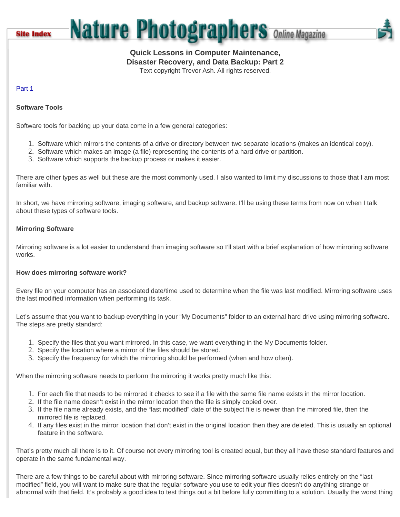**Site Index** 

# **Nature Photographers Online Magazine**

# **Quick Lessons in Computer Maintenance,**

**Disaster Recovery, and Data Backup: Part 2**

Text copyright Trevor Ash. All rights reserved.

# [Part 1](http://www.naturephotographers.net/articles1103/ta1103-1.html)

# **Software Tools**

Software tools for backing up your data come in a few general categories:

- 1. Software which mirrors the contents of a drive or directory between two separate locations (makes an identical copy).
- 2. Software which makes an image (a file) representing the contents of a hard drive or partition.
- 3. Software which supports the backup process or makes it easier.

There are other types as well but these are the most commonly used. I also wanted to limit my discussions to those that I am most familiar with.

In short, we have mirroring software, imaging software, and backup software. I'll be using these terms from now on when I talk about these types of software tools.

### **Mirroring Software**

Mirroring software is a lot easier to understand than imaging software so I'll start with a brief explanation of how mirroring software works.

### **How does mirroring software work?**

Every file on your computer has an associated date/time used to determine when the file was last modified. Mirroring software uses the last modified information when performing its task.

Let's assume that you want to backup everything in your "My Documents" folder to an external hard drive using mirroring software. The steps are pretty standard:

- 1. Specify the files that you want mirrored. In this case, we want everything in the My Documents folder.
- 2. Specify the location where a mirror of the files should be stored.
- 3. Specify the frequency for which the mirroring should be performed (when and how often).

When the mirroring software needs to perform the mirroring it works pretty much like this:

- 1. For each file that needs to be mirrored it checks to see if a file with the same file name exists in the mirror location.
- 2. If the file name doesn't exist in the mirror location then the file is simply copied over.
- 3. If the file name already exists, and the "last modified" date of the subject file is newer than the mirrored file, then the mirrored file is replaced.
- 4. If any files exist in the mirror location that don't exist in the original location then they are deleted. This is usually an optional feature in the software.

That's pretty much all there is to it. Of course not every mirroring tool is created equal, but they all have these standard features and operate in the same fundamental way.

There are a few things to be careful about with mirroring software. Since mirroring software usually relies entirely on the "last modified" field, you will want to make sure that the regular software you use to edit your files doesn't do anything strange or abnormal with that field. It's probably a good idea to test things out a bit before fully committing to a solution. Usually the worst thing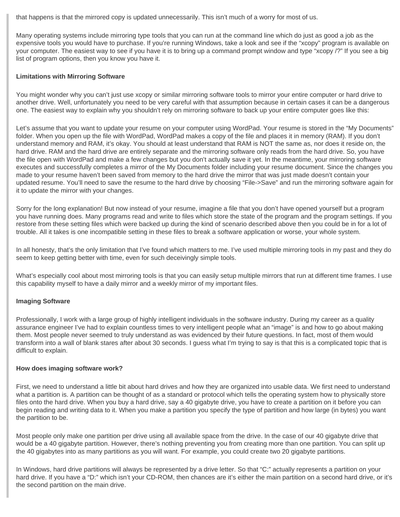that happens is that the mirrored copy is updated unnecessarily. This isn't much of a worry for most of us.

Many operating systems include mirroring type tools that you can run at the command line which do just as good a job as the expensive tools you would have to purchase. If you're running Windows, take a look and see if the "xcopy" program is available on your computer. The easiest way to see if you have it is to bring up a command prompt window and type "xcopy /?" If you see a big list of program options, then you know you have it.

#### **Limitations with Mirroring Software**

You might wonder why you can't just use xcopy or similar mirroring software tools to mirror your entire computer or hard drive to another drive. Well, unfortunately you need to be very careful with that assumption because in certain cases it can be a dangerous one. The easiest way to explain why you shouldn't rely on mirroring software to back up your entire computer goes like this:

Let's assume that you want to update your resume on your computer using WordPad. Your resume is stored in the "My Documents" folder. When you open up the file with WordPad, WordPad makes a copy of the file and places it in memory (RAM). If you don't understand memory and RAM, it's okay. You should at least understand that RAM is NOT the same as, nor does it reside on, the hard drive. RAM and the hard drive are entirely separate and the mirroring software only reads from the hard drive. So, you have the file open with WordPad and make a few changes but you don't actually save it yet. In the meantime, your mirroring software executes and successfully completes a mirror of the My Documents folder including your resume document. Since the changes you made to your resume haven't been saved from memory to the hard drive the mirror that was just made doesn't contain your updated resume. You'll need to save the resume to the hard drive by choosing "File->Save" and run the mirroring software again for it to update the mirror with your changes.

Sorry for the long explanation! But now instead of your resume, imagine a file that you don't have opened yourself but a program you have running does. Many programs read and write to files which store the state of the program and the program settings. If you restore from these setting files which were backed up during the kind of scenario described above then you could be in for a lot of trouble. All it takes is one incompatible setting in these files to break a software application or worse, your whole system.

In all honesty, that's the only limitation that I've found which matters to me. I've used multiple mirroring tools in my past and they do seem to keep getting better with time, even for such deceivingly simple tools.

What's especially cool about most mirroring tools is that you can easily setup multiple mirrors that run at different time frames. I use this capability myself to have a daily mirror and a weekly mirror of my important files.

### **Imaging Software**

Professionally, I work with a large group of highly intelligent individuals in the software industry. During my career as a quality assurance engineer I've had to explain countless times to very intelligent people what an "image" is and how to go about making them. Most people never seemed to truly understand as was evidenced by their future questions. In fact, most of them would transform into a wall of blank stares after about 30 seconds. I guess what I'm trying to say is that this is a complicated topic that is difficult to explain.

#### **How does imaging software work?**

First, we need to understand a little bit about hard drives and how they are organized into usable data. We first need to understand what a partition is. A partition can be thought of as a standard or protocol which tells the operating system how to physically store files onto the hard drive. When you buy a hard drive, say a 40 gigabyte drive, you have to create a partition on it before you can begin reading and writing data to it. When you make a partition you specify the type of partition and how large (in bytes) you want the partition to be.

Most people only make one partition per drive using all available space from the drive. In the case of our 40 gigabyte drive that would be a 40 gigabyte partition. However, there's nothing preventing you from creating more than one partition. You can split up the 40 gigabytes into as many partitions as you will want. For example, you could create two 20 gigabyte partitions.

In Windows, hard drive partitions will always be represented by a drive letter. So that "C:" actually represents a partition on your hard drive. If you have a "D:" which isn't your CD-ROM, then chances are it's either the main partition on a second hard drive, or it's the second partition on the main drive.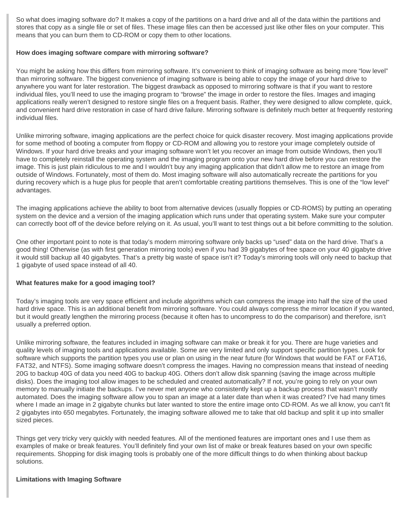So what does imaging software do? It makes a copy of the partitions on a hard drive and all of the data within the partitions and stores that copy as a single file or set of files. These image files can then be accessed just like other files on your computer. This means that you can burn them to CD-ROM or copy them to other locations.

#### **How does imaging software compare with mirroring software?**

You might be asking how this differs from mirroring software. It's convenient to think of imaging software as being more "low level" than mirroring software. The biggest convenience of imaging software is being able to copy the image of your hard drive to anywhere you want for later restoration. The biggest drawback as opposed to mirroring software is that if you want to restore individual files, you'll need to use the imaging program to "browse" the image in order to restore the files. Images and imaging applications really weren't designed to restore single files on a frequent basis. Rather, they were designed to allow complete, quick, and convenient hard drive restoration in case of hard drive failure. Mirroring software is definitely much better at frequently restoring individual files.

Unlike mirroring software, imaging applications are the perfect choice for quick disaster recovery. Most imaging applications provide for some method of booting a computer from floppy or CD-ROM and allowing you to restore your image completely outside of Windows. If your hard drive breaks and your imaging software won't let you recover an image from outside Windows, then you'll have to completely reinstall the operating system and the imaging program onto your new hard drive before you can restore the image. This is just plain ridiculous to me and I wouldn't buy any imaging application that didn't allow me to restore an image from outside of Windows. Fortunately, most of them do. Most imaging software will also automatically recreate the partitions for you during recovery which is a huge plus for people that aren't comfortable creating partitions themselves. This is one of the "low level" advantages.

The imaging applications achieve the ability to boot from alternative devices (usually floppies or CD-ROMS) by putting an operating system on the device and a version of the imaging application which runs under that operating system. Make sure your computer can correctly boot off of the device before relying on it. As usual, you'll want to test things out a bit before committing to the solution.

One other important point to note is that today's modern mirroring software only backs up "used" data on the hard drive. That's a good thing! Otherwise (as with first generation mirroring tools) even if you had 39 gigabytes of free space on your 40 gigabyte drive it would still backup all 40 gigabytes. That's a pretty big waste of space isn't it? Today's mirroring tools will only need to backup that 1 gigabyte of used space instead of all 40.

### **What features make for a good imaging tool?**

Today's imaging tools are very space efficient and include algorithms which can compress the image into half the size of the used hard drive space. This is an additional benefit from mirroring software. You could always compress the mirror location if you wanted, but it would greatly lengthen the mirroring process (because it often has to uncompress to do the comparison) and therefore, isn't usually a preferred option.

Unlike mirroring software, the features included in imaging software can make or break it for you. There are huge varieties and quality levels of imaging tools and applications available. Some are very limited and only support specific partition types. Look for software which supports the partition types you use or plan on using in the near future (for Windows that would be FAT or FAT16, FAT32, and NTFS). Some imaging software doesn't compress the images. Having no compression means that instead of needing 20G to backup 40G of data you need 40G to backup 40G. Others don't allow disk spanning (saving the image across multiple disks). Does the imaging tool allow images to be scheduled and created automatically? If not, you're going to rely on your own memory to manually initiate the backups. I've never met anyone who consistently kept up a backup process that wasn't mostly automated. Does the imaging software allow you to span an image at a later date than when it was created? I've had many times where I made an image in 2 gigabyte chunks but later wanted to store the entire image onto CD-ROM. As we all know, you can't fit 2 gigabytes into 650 megabytes. Fortunately, the imaging software allowed me to take that old backup and split it up into smaller sized pieces.

Things get very tricky very quickly with needed features. All of the mentioned features are important ones and I use them as examples of make or break features. You'll definitely find your own list of make or break features based on your own specific requirements. Shopping for disk imaging tools is probably one of the more difficult things to do when thinking about backup solutions.

#### **Limitations with Imaging Software**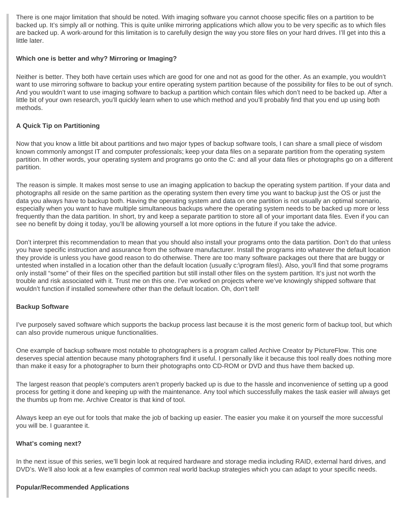There is one major limitation that should be noted. With imaging software you cannot choose specific files on a partition to be backed up. It's simply all or nothing. This is quite unlike mirroring applications which allow you to be very specific as to which files are backed up. A work-around for this limitation is to carefully design the way you store files on your hard drives. I'll get into this a little later.

### **Which one is better and why? Mirroring or Imaging?**

Neither is better. They both have certain uses which are good for one and not as good for the other. As an example, you wouldn't want to use mirroring software to backup your entire operating system partition because of the possibility for files to be out of synch. And you wouldn't want to use imaging software to backup a partition which contain files which don't need to be backed up. After a little bit of your own research, you'll quickly learn when to use which method and you'll probably find that you end up using both methods.

# **A Quick Tip on Partitioning**

Now that you know a little bit about partitions and two major types of backup software tools, I can share a small piece of wisdom known commonly amongst IT and computer professionals; keep your data files on a separate partition from the operating system partition. In other words, your operating system and programs go onto the C: and all your data files or photographs go on a different partition.

The reason is simple. It makes most sense to use an imaging application to backup the operating system partition. If your data and photographs all reside on the same partition as the operating system then every time you want to backup just the OS or just the data you always have to backup both. Having the operating system and data on one partition is not usually an optimal scenario, especially when you want to have multiple simultaneous backups where the operating system needs to be backed up more or less frequently than the data partition. In short, try and keep a separate partition to store all of your important data files. Even if you can see no benefit by doing it today, you'll be allowing yourself a lot more options in the future if you take the advice.

Don't interpret this recommendation to mean that you should also install your programs onto the data partition. Don't do that unless you have specific instruction and assurance from the software manufacturer. Install the programs into whatever the default location they provide is unless you have good reason to do otherwise. There are too many software packages out there that are buggy or untested when installed in a location other than the default location (usually c:\program files\). Also, you'll find that some programs only install "some" of their files on the specified partition but still install other files on the system partition. It's just not worth the trouble and risk associated with it. Trust me on this one. I've worked on projects where we've knowingly shipped software that wouldn't function if installed somewhere other than the default location. Oh, don't tell!

### **Backup Software**

I've purposely saved software which supports the backup process last because it is the most generic form of backup tool, but which can also provide numerous unique functionalities.

One example of backup software most notable to photographers is a program called Archive Creator by PictureFlow. This one deserves special attention because many photographers find it useful. I personally like it because this tool really does nothing more than make it easy for a photographer to burn their photographs onto CD-ROM or DVD and thus have them backed up.

The largest reason that people's computers aren't properly backed up is due to the hassle and inconvenience of setting up a good process for getting it done and keeping up with the maintenance. Any tool which successfully makes the task easier will always get the thumbs up from me. Archive Creator is that kind of tool.

Always keep an eye out for tools that make the job of backing up easier. The easier you make it on yourself the more successful you will be. I guarantee it.

### **What's coming next?**

In the next issue of this series, we'll begin look at required hardware and storage media including RAID, external hard drives, and DVD's. We'll also look at a few examples of common real world backup strategies which you can adapt to your specific needs.

#### **Popular/Recommended Applications**